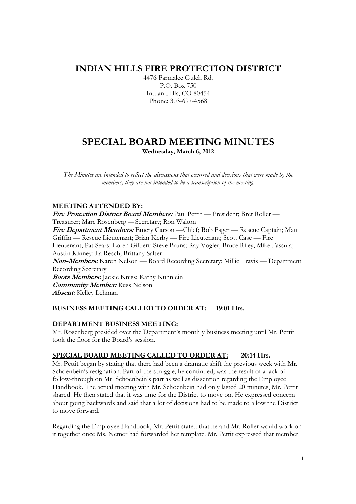# **INDIAN HILLS FIRE PROTECTION DISTRICT**

4476 Parmalee Gulch Rd. P.O. Box 750 Indian Hills, CO 80454 Phone: 303-697-4568

# **SPECIAL BOARD MEETING MINUTES**

**Wednesday, March 6, 2012** 

*The Minutes are intended to reflect the discussions that occurred and decisions that were made by the members; they are not intended to be a transcription of the meeting.* 

#### **MEETING ATTENDED BY:**

**Fire Protection District Board Members:** Paul Pettit — President; Bret Roller — Treasurer; Marc Rosenberg — Secretary; Ron Walton

**Fire Department Members:** Emery Carson —Chief; Bob Fager — Rescue Captain; Matt Griffin — Rescue Lieutenant; Brian Kerby — Fire Lieutenant; Scott Case — Fire Lieutenant; Pat Sears; Loren Gilbert; Steve Bruns; Ray Vogler; Bruce Riley, Mike Fassula;

Austin Kinney; La Resch; Brittany Salter

**Non-Members:** Karen Nelson — Board Recording Secretary; Millie Travis — Department Recording Secretary

**Boots Members:** Jackie Kniss; Kathy Kuhnlein **Community Member:** Russ Nelson

**Absent:** Kelley Lehman

### **BUSINESS MEETING CALLED TO ORDER AT: 19:01 Hrs.**

#### **DEPARTMENT BUSINESS MEETING:**

Mr. Rosenberg presided over the Department's monthly business meeting until Mr. Pettit took the floor for the Board's session.

#### **SPECIAL BOARD MEETING CALLED TO ORDER AT: 20:14 Hrs.**

Mr. Pettit began by stating that there had been a dramatic shift the previous week with Mr. Schoenbein's resignation. Part of the struggle, he continued, was the result of a lack of follow-through on Mr. Schoenbein's part as well as dissention regarding the Employee Handbook. The actual meeting with Mr. Schoenbein had only lasted 20 minutes, Mr. Pettit shared. He then stated that it was time for the District to move on. He expressed concern about going backwards and said that a lot of decisions had to be made to allow the District to move forward.

Regarding the Employee Handbook, Mr. Pettit stated that he and Mr. Roller would work on it together once Ms. Nemer had forwarded her template. Mr. Pettit expressed that member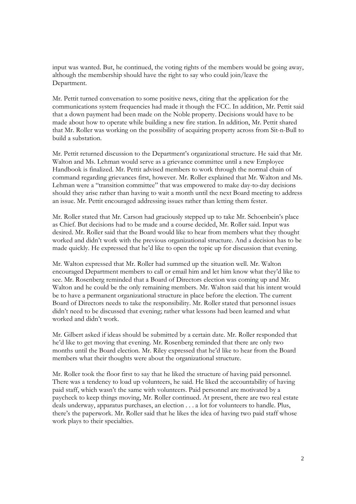input was wanted. But, he continued, the voting rights of the members would be going away, although the membership should have the right to say who could join/leave the Department.

Mr. Pettit turned conversation to some positive news, citing that the application for the communications system frequencies had made it though the FCC. In addition, Mr. Pettit said that a down payment had been made on the Noble property. Decisions would have to be made about how to operate while building a new fire station. In addition, Mr. Pettit shared that Mr. Roller was working on the possibility of acquiring property across from Sit-n-Bull to build a substation.

Mr. Pettit returned discussion to the Department's organizational structure. He said that Mr. Walton and Ms. Lehman would serve as a grievance committee until a new Employee Handbook is finalized. Mr. Pettit advised members to work through the normal chain of command regarding grievances first, however. Mr. Roller explained that Mr. Walton and Ms. Lehman were a "transition committee" that was empowered to make day-to-day decisions should they arise rather than having to wait a month until the next Board meeting to address an issue. Mr. Pettit encouraged addressing issues rather than letting them fester.

Mr. Roller stated that Mr. Carson had graciously stepped up to take Mr. Schoenbein's place as Chief. But decisions had to be made and a course decided, Mr. Roller said. Input was desired. Mr. Roller said that the Board would like to hear from members what they thought worked and didn't work with the previous organizational structure. And a decision has to be made quickly. He expressed that he'd like to open the topic up for discussion that evening.

Mr. Walton expressed that Mr. Roller had summed up the situation well. Mr. Walton encouraged Department members to call or email him and let him know what they'd like to see. Mr. Rosenberg reminded that a Board of Directors election was coming up and Mr. Walton and he could be the only remaining members. Mr. Walton said that his intent would be to have a permanent organizational structure in place before the election. The current Board of Directors needs to take the responsibility. Mr. Roller stated that personnel issues didn't need to be discussed that evening; rather what lessons had been learned and what worked and didn't work.

Mr. Gilbert asked if ideas should be submitted by a certain date. Mr. Roller responded that he'd like to get moving that evening. Mr. Rosenberg reminded that there are only two months until the Board election. Mr. Riley expressed that he'd like to hear from the Board members what their thoughts were about the organizational structure.

Mr. Roller took the floor first to say that he liked the structure of having paid personnel. There was a tendency to load up volunteers, he said. He liked the accountability of having paid staff, which wasn't the same with volunteers. Paid personnel are motivated by a paycheck to keep things moving, Mr. Roller continued. At present, there are two real estate deals underway, apparatus purchases, an election . . . a lot for volunteers to handle. Plus, there's the paperwork. Mr. Roller said that he likes the idea of having two paid staff whose work plays to their specialties.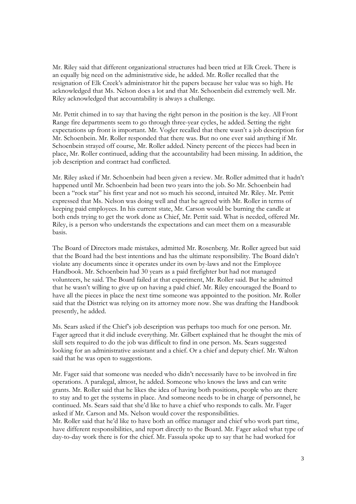Mr. Riley said that different organizational structures had been tried at Elk Creek. There is an equally big need on the administrative side, he added. Mr. Roller recalled that the resignation of Elk Creek's administrator hit the papers because her value was so high. He acknowledged that Ms. Nelson does a lot and that Mr. Schoenbein did extremely well. Mr. Riley acknowledged that accountability is always a challenge.

Mr. Pettit chimed in to say that having the right person in the position is the key. All Front Range fire departments seem to go through three-year cycles, he added. Setting the right expectations up front is important. Mr. Vogler recalled that there wasn't a job description for Mr. Schoenbein. Mr. Roller responded that there was. But no one ever said anything if Mr. Schoenbein strayed off course, Mr. Roller added. Ninety percent of the pieces had been in place, Mr. Roller continued, adding that the accountability had been missing. In addition, the job description and contract had conflicted.

Mr. Riley asked if Mr. Schoenbein had been given a review. Mr. Roller admitted that it hadn't happened until Mr. Schoenbein had been two years into the job. So Mr. Schoenbein had been a "rock star" his first year and not so much his second, intuited Mr. Riley. Mr. Pettit expressed that Ms. Nelson was doing well and that he agreed with Mr. Roller in terms of keeping paid employees. In his current state, Mr. Carson would be burning the candle at both ends trying to get the work done as Chief, Mr. Pettit said. What is needed, offered Mr. Riley, is a person who understands the expectations and can meet them on a measurable basis.

The Board of Directors made mistakes, admitted Mr. Rosenberg. Mr. Roller agreed but said that the Board had the best intentions and has the ultimate responsibility. The Board didn't violate any documents since it operates under its own by-laws and not the Employee Handbook. Mr. Schoenbein had 30 years as a paid firefighter but had not managed volunteers, he said. The Board failed at that experiment, Mr. Roller said. But he admitted that he wasn't willing to give up on having a paid chief. Mr. Riley encouraged the Board to have all the pieces in place the next time someone was appointed to the position. Mr. Roller said that the District was relying on its attorney more now. She was drafting the Handbook presently, he added.

Ms. Sears asked if the Chief's job description was perhaps too much for one person. Mr. Fager agreed that it did include everything. Mr. Gilbert explained that he thought the mix of skill sets required to do the job was difficult to find in one person. Ms. Sears suggested looking for an administrative assistant and a chief. Or a chief and deputy chief. Mr. Walton said that he was open to suggestions.

Mr. Fager said that someone was needed who didn't necessarily have to be involved in fire operations. A paralegal, almost, he added. Someone who knows the laws and can write grants. Mr. Roller said that he likes the idea of having both positions, people who are there to stay and to get the systems in place. And someone needs to be in charge of personnel, he continued. Ms. Sears said that she'd like to have a chief who responds to calls. Mr. Fager asked if Mr. Carson and Ms. Nelson would cover the responsibilities.

Mr. Roller said that he'd like to have both an office manager and chief who work part time, have different responsibilities, and report directly to the Board. Mr. Fager asked what type of day-to-day work there is for the chief. Mr. Fassula spoke up to say that he had worked for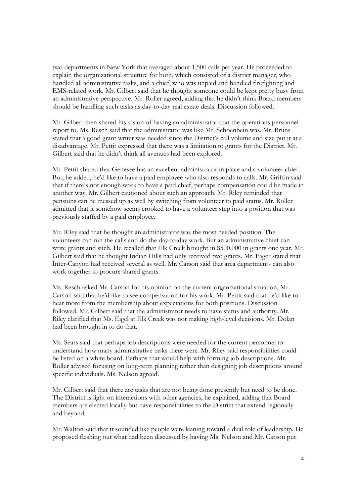two departments in New York that averaged about 1,500 calls per year. He proceeded to explain the organizational structure for both, which consisted of a district manager, who handled all administrative tasks, and a chief, who was unpaid and handled firefighting and EMS-related work. Mr. Gilbert said that he thought someone could be kept pretty busy from an administrative perspective. Mr. Roller agreed, adding that he didn't think Board members should be handling such tasks as day-to-day real estate deals. Discussion followed.

Mr. Gilbert then shared his vision of having an administrator that the operations personnel report to. Ms. Resch said that the administrator was like Mr. Schoenbein was. Mr. Bruns stated that a good grant writer was needed since the District's call volume and size put it at a disadvantage. Mr. Pettit expressed that there was a limitation to grants for the District. Mr. Gilbert said that he didn't think all avenues had been explored.

Mr. Pettit shared that Genesee has an excellent administrator in place and a volunteer chief. But, he added, he'd like to have a paid employee who also responds to calls. Mr. Griffin said that if there's not enough work to have a paid chief, perhaps compensation could be made in another way. Mr. Gilbert cautioned about such an approach. Mr. Riley reminded that pensions can be messed up as well by switching from volunteer to paid status. Mr. Roller admitted that it somehow seems crooked to have a volunteer step into a position that was previously staffed by a paid employee.

Mr. Riley said that he thought an administrator was the most needed position. The volunteers can run the calls and do the day-to-day work. But an administrative chief can write grants and such. He recalled that Elk Creek brought in \$500,000 in grants one year. Mr. Gilbert said that he thought Indian Hills had only received two grants. Mr. Fager stated that Inter-Canyon had received several as well. Mr. Carson said that area departments can also work together to procure shared grants.

Ms. Resch asked Mr. Carson for his opinion on the current organizational situation. Mr. Carson said that he'd like to see compensation for his work. Mr. Pettit said that he'd like to hear more from the membership about expectations for both positions. Discussion followed. Mr. Gilbert said that the administrator needs to have status and authority. Mr. Riley clarified that Ms. Eigel at Elk Creek was not making high-level decisions. Mr. Dolan had been brought in to do that.

Ms. Sears said that perhaps job descriptions were needed for the current personnel to understand how many administrative tasks there were. Mr. Riley said responsibilities could be listed on a white board. Perhaps that would help with forming job descriptions. Mr. Roller advised focusing on long-term planning rather than designing job descriptions around specific individuals. Ms. Nelson agreed.

Mr. Gilbert said that there are tasks that are not being done presently but need to be done. The District is light on interactions with other agencies, he explained, adding that Board members are elected locally but have responsibilities to the District that extend regionally and beyond.

Mr. Walton said that it sounded like people were leaning toward a dual role of leadership. He proposed fleshing out what had been discussed by having Ms. Nelson and Mr. Carson put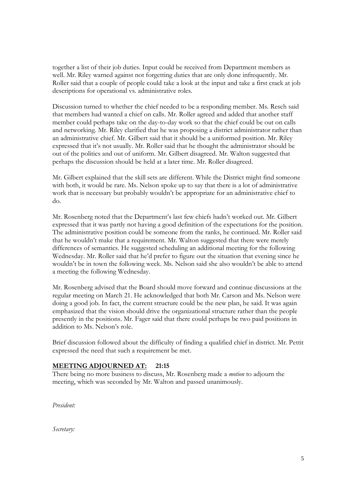together a list of their job duties. Input could be received from Department members as well. Mr. Riley warned against not forgetting duties that are only done infrequently. Mr. Roller said that a couple of people could take a look at the input and take a first crack at job descriptions for operational vs. administrative roles.

Discussion turned to whether the chief needed to be a responding member. Ms. Resch said that members had wanted a chief on calls. Mr. Roller agreed and added that another staff member could perhaps take on the day-to-day work so that the chief could be out on calls and networking. Mr. Riley clarified that he was proposing a district administrator rather than an administrative chief. Mr. Gilbert said that it should be a uniformed position. Mr. Riley expressed that it's not usually. Mr. Roller said that he thought the administrator should be out of the politics and out of uniform. Mr. Gilbert disagreed. Mr. Walton suggested that perhaps the discussion should be held at a later time. Mr. Roller disagreed.

Mr. Gilbert explained that the skill sets are different. While the District might find someone with both, it would be rare. Ms. Nelson spoke up to say that there is a lot of administrative work that is necessary but probably wouldn't be appropriate for an administrative chief to do.

Mr. Rosenberg noted that the Department's last few chiefs hadn't worked out. Mr. Gilbert expressed that it was partly not having a good definition of the expectations for the position. The administrative position could be someone from the ranks, he continued. Mr. Roller said that he wouldn't make that a requirement. Mr. Walton suggested that there were merely differences of semantics. He suggested scheduling an additional meeting for the following Wednesday. Mr. Roller said that he'd prefer to figure out the situation that evening since he wouldn't be in town the following week. Ms. Nelson said she also wouldn't be able to attend a meeting the following Wednesday.

Mr. Rosenberg advised that the Board should move forward and continue discussions at the regular meeting on March 21. He acknowledged that both Mr. Carson and Ms. Nelson were doing a good job. In fact, the current structure could be the new plan, he said. It was again emphasized that the vision should drive the organizational structure rather than the people presently in the positions. Mr. Fager said that there could perhaps be two paid positions in addition to Ms. Nelson's role.

Brief discussion followed about the difficulty of finding a qualified chief in district. Mr. Pettit expressed the need that such a requirement be met.

#### **MEETING ADJOURNED AT: 21:15**

There being no more business to discuss, Mr. Rosenberg made a *motion* to adjourn the meeting, which was seconded by Mr. Walton and passed unanimously.

*President:* 

*Secretary:*